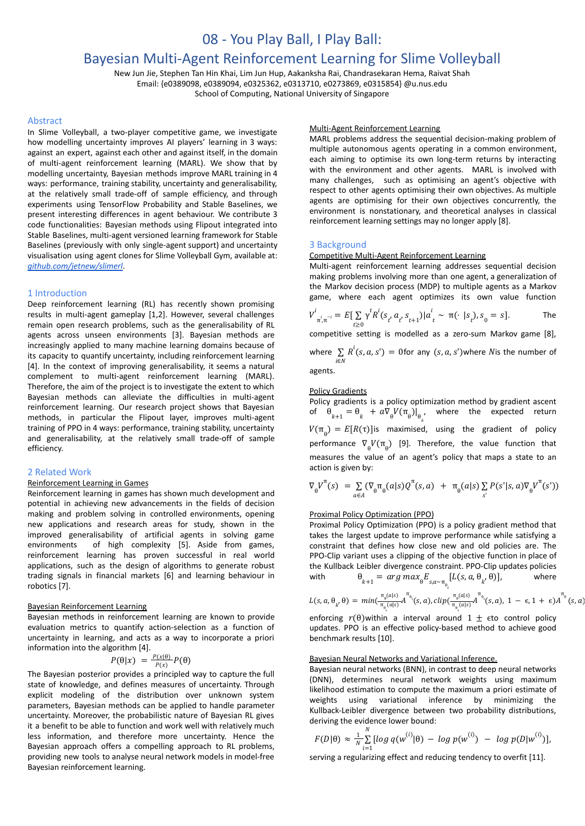# 08 - You Play Ball, I Play Ball:

# Bayesian Multi-Agent Reinforcement Learning for Slime Volleyball

New Jun Jie, Stephen Tan Hin Khai, Lim Jun Hup, Aakanksha Rai, Chandrasekaran Hema, Raivat Shah Email: {e0389098, e0389094, e0325362, e0313710, e0273869, e0315854} @u.nus.edu School of Computing, National University of Singapore

#### Abstract

In Slime Volleyball, a two-player competitive game, we investigate how modelling uncertainty improves AI players' learning in 3 ways: against an expert, against each other and against itself, in the domain of multi-agent reinforcement learning (MARL). We show that by modelling uncertainty, Bayesian methods improve MARL training in 4 ways: performance, training stability, uncertainty and generalisability, at the relatively small trade-off of sample efficiency, and through experiments using TensorFlow Probability and Stable Baselines, we present interesting differences in agent behaviour. We contribute 3 code functionalities: Bayesian methods using Flipout integrated into Stable Baselines, multi-agent versioned learning framework for Stable Baselines (previously with only single-agent support) and uncertainty visualisation using agent clones for Slime Volleyball Gym, available at: *[github.com/jetnew/slimerl](http://github.com/jetnew/slimerl)*.

# 1 Introduction

Deep reinforcement learning (RL) has recently shown promising results in multi-agent gameplay [1,2]. However, several challenges remain open research problems, such as the generalisability of RL agents across unseen environments [3]. Bayesian methods are increasingly applied to many machine learning domains because of its capacity to quantify uncertainty, including reinforcement learning [4]. In the context of improving generalisability, it seems a natural complement to multi-agent reinforcement learning (MARL). Therefore, the aim of the project is to investigate the extent to which Bayesian methods can alleviate the difficulties in multi-agent reinforcement learning. Our research project shows that Bayesian methods, in particular the Flipout layer, improves multi-agent training of PPO in 4 ways: performance, training stability, uncertainty and generalisability, at the relatively small trade-off of sample efficiency.

# 2 Related Work

#### Reinforcement Learning in Games

Reinforcement learning in games has shown much development and potential in achieving new advancements in the fields of decision making and problem solving in controlled environments, opening new applications and research areas for study, shown in the improved generalisability of artificial agents in solving game environments of high complexity [5]. Aside from games, reinforcement learning has proven successful in real world applications, such as the design of algorithms to generate robust trading signals in financial markets [6] and learning behaviour in robotics [7].

#### Bayesian Reinforcement Learning

Bayesian methods in reinforcement learning are known to provide evaluation metrics to quantify action-selection as a function of uncertainty in learning, and acts as a way to incorporate a priori information into the algorithm [4].

$$
P(\theta|x) = \frac{P(x|\theta)}{P(x)}P(\theta)
$$

The Bayesian posterior provides a principled way to capture the full state of knowledge, and defines measures of uncertainty. Through explicit modeling of the distribution over unknown system parameters, Bayesian methods can be applied to handle parameter uncertainty. Moreover, the probabilistic nature of Bayesian RL gives it a benefit to be able to function and work well with relatively much less information, and therefore more uncertainty. Hence the Bayesian approach offers a compelling approach to RL problems, providing new tools to analyse neural network models in model-free Bayesian reinforcement learning.

#### Multi-Agent Reinforcement Learning

MARL problems address the sequential decision-making problem of multiple autonomous agents operating in a common environment, each aiming to optimise its own long-term returns by interacting with the environment and other agents. MARL is involved with many challenges, such as optimising an agent's objective with respect to other agents optimising their own objectives. As multiple agents are optimising for their own objectives concurrently, the environment is nonstationary, and theoretical analyses in classical reinforcement learning settings may no longer apply [8].

# 3 Background

# Competitive Multi-Agent Reinforcement Learning

Multi-agent reinforcement learning addresses sequential decision making problems involving more than one agent, a generalization of the Markov decision process (MDP) to multiple agents as a Markov game, where each agent optimizes its own value function

$$
V_{\pi_i^i, \pi^{-i}}^i = E[\sum_{t \ge 0} \gamma^t R^i(s_t, a_t, s_{t+1}) | a_t^i \sim \pi(\cdot | s_t), s_0 = s].
$$
 The

competitive setting is modelled as a zero-sum Markov game [8],

where  $\sum_{i\in\mathbb{N}} R^i(s, a, s') = 0$  for any  $(s, a, s')$  where N is the number of  $\sum R^i(s, a, s') = 0$ for any  $(s, a, s')$ where  $N$ i agents.

# Policy Gradients

Policy gradients is a policy optimization method by gradient ascent of  $\theta_{k+1} = \theta_k + a \nabla_{\theta} V(\pi_{\theta})|_{\theta_{k}^{\theta}}$ , where the expected return  $W(\pi_{\overline{\theta}}) = E[R(\tau)]$ is maximised, using the gradient of policy performance  $\nabla_{\theta}V(\pi_{\theta})$  [9]. Therefore, the value function that measures the value of an agent's policy that maps a state to an action is given by:

$$
\nabla_{\theta} V^{\pi}(s) = \sum_{a \in A} (\nabla_{\theta} \pi_{\theta}(a|s) Q^{\pi}(s,a) + \pi_{\theta}(a|s) \sum_{s'} P(s'|s,a) \nabla_{\theta} V^{\pi}(s'))
$$

# Proximal Policy Optimization (PPO)

Proximal Policy Optimization (PPO) is a policy gradient method that takes the largest update to improve performance while satisfying a constraint that defines how close new and old policies are. The PPO-Clip variant uses a clipping of the objective function in place of the Kullback Leibler divergence constraint. PPO-Clip updates policies with  $\theta_{k+1} = arg max_{\theta} E_{s,a \sim \pi_{\theta_k}} [L(s, a, \theta_{k'}, \theta)],$  where

$$
L(s, a, \theta_k, \theta) = min(\frac{\pi_{\theta}(a|s)}{\pi_{\theta_k}(a|s)}A^{\pi_{\theta_k}}(s, a), clip(\frac{\pi_{\theta}(a|s)}{\pi_{\theta_k}(a|s)}A^{\pi_{\theta_k}}(s, a), 1 - \epsilon, 1 + \epsilon)A^{\pi_{\theta_k}}(s, a))
$$

enforcing  $r(\theta)$ within a interval around  $1 \pm \epsilon$ to control policy updates. PPO is an effective policy-based method to achieve good benchmark results [10].

# Bayesian Neural Networks and Variational Inference.

Bayesian neural networks (BNN), in contrast to deep neural networks (DNN), determines neural network weights using maximum likelihood estimation to compute the maximum a priori estimate of weights using variational inference by minimizing the Kullback-Leibler divergence between two probability distributions, deriving the evidence lower bound:

$$
F(D|\theta) \approx \frac{1}{N} \sum_{i=1}^{N} [log q(w^{(i)}|\theta) - log p(w^{(i)}) - log p(D|w^{(i)})],
$$

serving a regularizing effect and reducing tendency to overfit [11].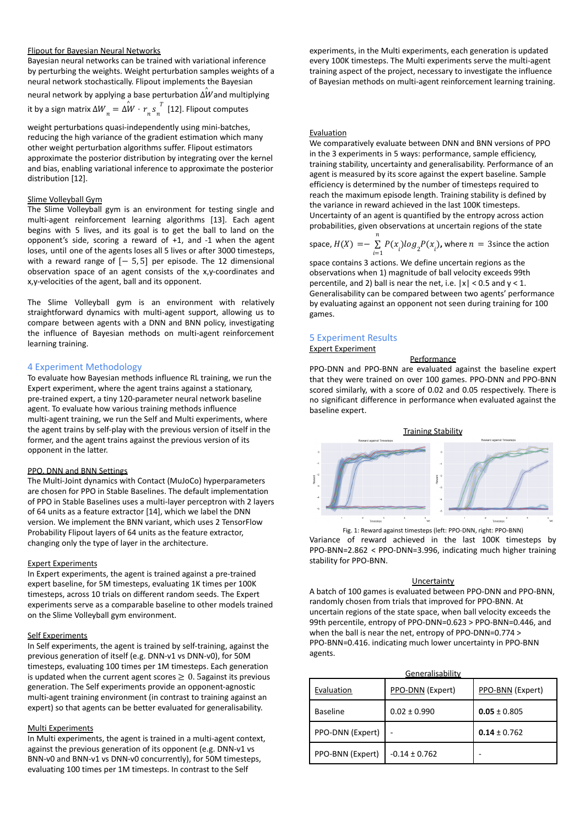## Flipout for Bayesian Neural Networks

Bayesian neural networks can be trained with variational inference by perturbing the weights. Weight perturbation samples weights of a neural network stochastically. Flipout implements the Bayesian

neural network by applying a base perturbation  $\hat{\Delta W}$ and multiplying it by a sign matrix  $\Delta W_{n} = \Delta \overset{\circ}{W} \cdot r_{n}^{\phantom{n} s}_{n}^{\phantom{n} T}$  [12]. Flipout computes T

weight perturbations quasi-independently using mini-batches, reducing the high variance of the gradient estimation which many other weight perturbation algorithms suffer. Flipout estimators approximate the posterior distribution by integrating over the kernel and bias, enabling variational inference to approximate the posterior distribution [12].

#### Slime Volleyball Gym

The Slime Volleyball gym is an environment for testing single and multi-agent reinforcement learning algorithms [13]. Each agent begins with 5 lives, and its goal is to get the ball to land on the opponent's side, scoring a reward of +1, and -1 when the agent loses, until one of the agents loses all 5 lives or after 3000 timesteps, with a reward range of  $[-5, 5]$  per episode. The 12 dimensional observation space of an agent consists of the x,y-coordinates and x,y-velocities of the agent, ball and its opponent.

The Slime Volleyball gym is an environment with relatively straightforward dynamics with multi-agent support, allowing us to compare between agents with a DNN and BNN policy, investigating the influence of Bayesian methods on multi-agent reinforcement learning training.

# 4 Experiment Methodology

To evaluate how Bayesian methods influence RL training, we run the Expert experiment, where the agent trains against a stationary, pre-trained expert, a tiny 120-parameter neural network baseline agent. To evaluate how various training methods influence multi-agent training, we run the Self and Multi experiments, where the agent trains by self-play with the previous version of itself in the former, and the agent trains against the previous version of its opponent in the latter.

## PPO, DNN and BNN Settings

The Multi-Joint dynamics with Contact (MuJoCo) hyperparameters are chosen for PPO in Stable Baselines. The default implementation of PPO in Stable Baselines uses a multi-layer perceptron with 2 layers of 64 units as a feature extractor [14], which we label the DNN version. We implement the BNN variant, which uses 2 TensorFlow Probability Flipout layers of 64 units as the feature extractor, changing only the type of layer in the architecture.

## Expert Experiments

In Expert experiments, the agent is trained against a pre-trained expert baseline, for 5M timesteps, evaluating 1K times per 100K timesteps, across 10 trials on different random seeds. The Expert experiments serve as a comparable baseline to other models trained on the Slime Volleyball gym environment.

# Self Experiments

In Self experiments, the agent is trained by self-training, against the previous generation of itself (e.g. DNN-v1 vs DNN-v0), for 50M timesteps, evaluating 100 times per 1M timesteps. Each generation is updated when the current agent scores  $\geq 0$ . 5against its previous generation. The Self experiments provide an opponent-agnostic multi-agent training environment (in contrast to training against an expert) so that agents can be better evaluated for generalisability.

# Multi Experiments

In Multi experiments, the agent is trained in a multi-agent context, against the previous generation of its opponent (e.g. DNN-v1 vs BNN-v0 and BNN-v1 vs DNN-v0 concurrently), for 50M timesteps, evaluating 100 times per 1M timesteps. In contrast to the Self

experiments, in the Multi experiments, each generation is updated every 100K timesteps. The Multi experiments serve the multi-agent training aspect of the project, necessary to investigate the influence of Bayesian methods on multi-agent reinforcement learning training.

#### Evaluation

We comparatively evaluate between DNN and BNN versions of PPO in the 3 experiments in 5 ways: performance, sample efficiency, training stability, uncertainty and generalisability. Performance of an agent is measured by its score against the expert baseline. Sample efficiency is determined by the number of timesteps required to reach the maximum episode length. Training stability is defined by the variance in reward achieved in the last 100K timesteps. Uncertainty of an agent is quantified by the entropy across action probabilities, given observations at uncertain regions of the state

space,  $H(X) = -\sum_{i=1} P(x_i) \log_2 P(x_i)$ , where  $n = 3$ since the action n  $\sum_{i=1}^{n} P(x_i) \log_2 P(x_i)$ , where  $n = 3$ 

space contains 3 actions. We define uncertain regions as the observations when 1) magnitude of ball velocity exceeds 99th percentile, and 2) ball is near the net, i.e.  $|x| < 0.5$  and  $y < 1$ . Generalisability can be compared between two agents' performance by evaluating against an opponent not seen during training for 100 games.

# 5 Experiment Results Expert Experiment

## **Performance**

PPO-DNN and PPO-BNN are evaluated against the baseline expert that they were trained on over 100 games. PPO-DNN and PPO-BNN scored similarly, with a score of 0.02 and 0.05 respectively. There is no significant difference in performance when evaluated against the baseline expert.

**Training Stability** 



Variance of reward achieved in the last 100K timesteps by PPO-BNN=2.862 < PPO-DNN=3.996, indicating much higher training stability for PPO-BNN.

#### Uncertainty

A batch of 100 games is evaluated between PPO-DNN and PPO-BNN, randomly chosen from trials that improved for PPO-BNN. At uncertain regions of the state space, when ball velocity exceeds the 99th percentile, entropy of PPO-DNN=0.623 > PPO-BNN=0.446, and when the ball is near the net, entropy of PPO-DNN=0.774 > PPO-BNN=0.416. indicating much lower uncertainty in PPO-BNN agents.

| Evaluation       | Generalisability<br>PPO-DNN (Expert) | PPO-BNN (Expert) |
|------------------|--------------------------------------|------------------|
| <b>Baseline</b>  | $0.02 \pm 0.990$                     | $0.05 \pm 0.805$ |
| PPO-DNN (Expert) |                                      | $0.14 \pm 0.762$ |
| PPO-BNN (Expert) | $-0.14 \pm 0.762$                    |                  |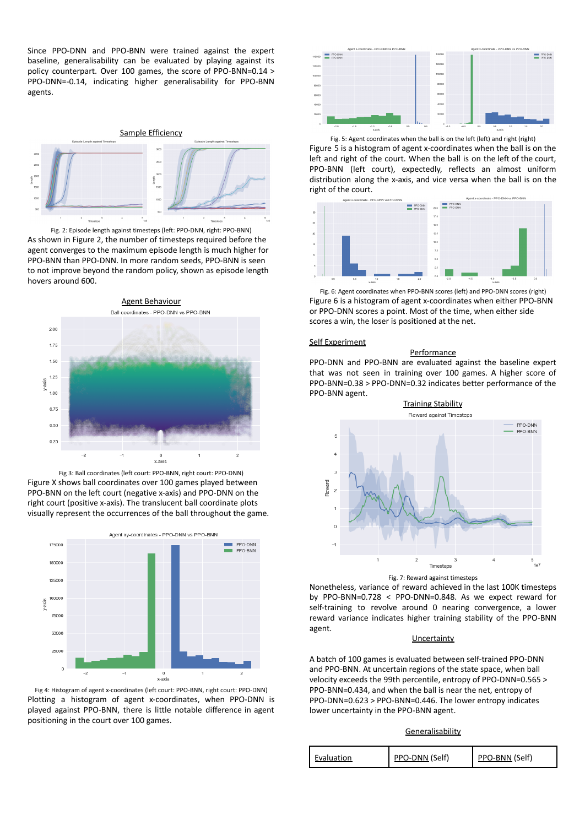Since PPO-DNN and PPO-BNN were trained against the expert baseline, generalisability can be evaluated by playing against its policy counterpart. Over 100 games, the score of PPO-BNN=0.14 > PPO-DNN=-0.14, indicating higher generalisability for PPO-BNN agents.



Fig. 2: Episode length against timesteps (left: PPO-DNN, right: PPO-BNN) As shown in Figure 2, the number of timesteps required before the agent converges to the maximum episode length is much higher for PPO-BNN than PPO-DNN. In more random seeds, PPO-BNN is seen to not improve beyond the random policy, shown as episode length hovers around 600.



Fig 3: Ball coordinates (left court: PPO-BNN, right court: PPO-DNN) Figure X shows ball coordinates over 100 games played between PPO-BNN on the left court (negative x-axis) and PPO-DNN on the right court (positive x-axis). The translucent ball coordinate plots visually represent the occurrences of the ball throughout the game.



Fig 4: Histogram of agent x-coordinates (left court: PPO-BNN, right court: PPO-DNN) Plotting a histogram of agent x-coordinates, when PPO-DNN is played against PPO-BNN, there is little notable difference in agent positioning in the court over 100 games.



Fig. 5: Agent coordinates when the ball is on the left (left) and right (right) Figure 5 is a histogram of agent x-coordinates when the ball is on the left and right of the court. When the ball is on the left of the court, PPO-BNN (left court), expectedly, reflects an almost uniform distribution along the x-axis, and vice versa when the ball is on the right of the court.



Fig. 6: Agent coordinates when PPO-BNN scores (left) and PPO-DNN scores (right) Figure 6 is a histogram of agent x-coordinates when either PPO-BNN or PPO-DNN scores a point. Most of the time, when either side scores a win, the loser is positioned at the net.

## Self Experiment

# Performance

PPO-DNN and PPO-BNN are evaluated against the baseline expert that was not seen in training over 100 games. A higher score of PPO-BNN=0.38 > PPO-DNN=0.32 indicates better performance of the PPO-BNN agent.



Fig. 7: Reward against timesteps

Nonetheless, variance of reward achieved in the last 100K timesteps by PPO-BNN=0.728 < PPO-DNN=0.848. As we expect reward for self-training to revolve around 0 nearing convergence, a lower reward variance indicates higher training stability of the PPO-BNN agent.

## **Uncertainty**

A batch of 100 games is evaluated between self-trained PPO-DNN and PPO-BNN. At uncertain regions of the state space, when ball velocity exceeds the 99th percentile, entropy of PPO-DNN=0.565 > PPO-BNN=0.434, and when the ball is near the net, entropy of PPO-DNN=0.623 > PPO-BNN=0.446. The lower entropy indicates lower uncertainty in the PPO-BNN agent.

#### **Generalisability**

| PPO-DNN (Self)<br>Evaluation | PPO-BNN (Self) |
|------------------------------|----------------|
|------------------------------|----------------|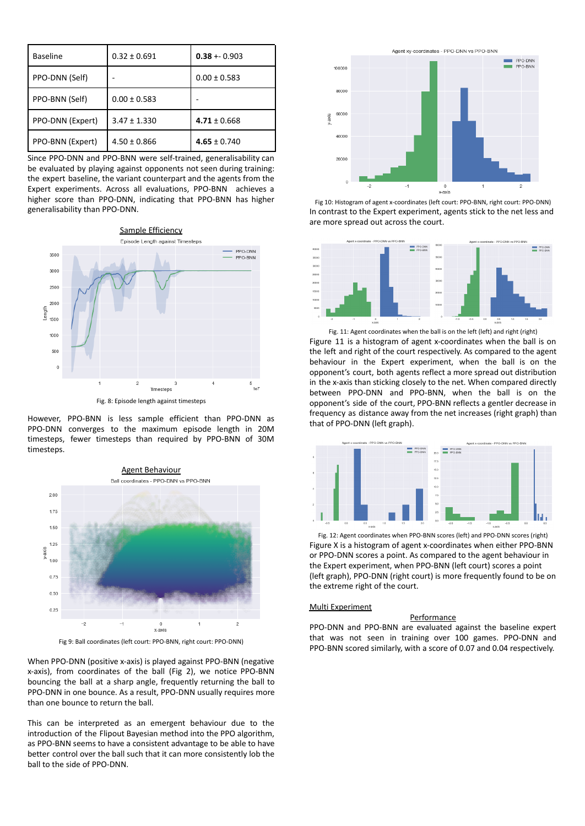| <b>Baseline</b>  | $0.32 \pm 0.691$ | $0.38 + 0.903$   |
|------------------|------------------|------------------|
| PPO-DNN (Self)   |                  | $0.00 \pm 0.583$ |
| PPO-BNN (Self)   | $0.00 \pm 0.583$ |                  |
| PPO-DNN (Expert) | $3.47 \pm 1.330$ | $4.71 \pm 0.668$ |
| PPO-BNN (Expert) | $4.50 \pm 0.866$ | $4.65 \pm 0.740$ |

Since PPO-DNN and PPO-BNN were self-trained, generalisability can be evaluated by playing against opponents not seen during training: the expert baseline, the variant counterpart and the agents from the Expert experiments. Across all evaluations, PPO-BNN achieves a higher score than PPO-DNN, indicating that PPO-BNN has higher generalisability than PPO-DNN.



However, PPO-BNN is less sample efficient than PPO-DNN as PPO-DNN converges to the maximum episode length in 20M timesteps, fewer timesteps than required by PPO-BNN of 30M timesteps.



Fig 9: Ball coordinates (left court: PPO-BNN, right court: PPO-DNN)

When PPO-DNN (positive x-axis) is played against PPO-BNN (negative x-axis), from coordinates of the ball (Fig 2), we notice PPO-BNN bouncing the ball at a sharp angle, frequently returning the ball to PPO-DNN in one bounce. As a result, PPO-DNN usually requires more than one bounce to return the ball.

This can be interpreted as an emergent behaviour due to the introduction of the Flipout Bayesian method into the PPO algorithm, as PPO-BNN seems to have a consistent advantage to be able to have better control over the ball such that it can more consistently lob the ball to the side of PPO-DNN.



Fig 10: Histogram of agent x-coordinates (left court: PPO-BNN, right court: PPO-DNN) In contrast to the Expert experiment, agents stick to the net less and are more spread out across the court.



Fig. 11: Agent coordinates when the ball is on the left (left) and right (right) Figure 11 is a histogram of agent x-coordinates when the ball is on the left and right of the court respectively. As compared to the agent behaviour in the Expert experiment, when the ball is on the opponent's court, both agents reflect a more spread out distribution in the x-axis than sticking closely to the net. When compared directly between PPO-DNN and PPO-BNN, when the ball is on the opponent's side of the court, PPO-BNN reflects a gentler decrease in frequency as distance away from the net increases (right graph) than that of PPO-DNN (left graph).



Fig. 12: Agent coordinates when PPO-BNN scores (left) and PPO-DNN scores (right) Figure X is a histogram of agent x-coordinates when either PPO-BNN or PPO-DNN scores a point. As compared to the agent behaviour in the Expert experiment, when PPO-BNN (left court) scores a point (left graph), PPO-DNN (right court) is more frequently found to be on the extreme right of the court.

# Multi Experiment

# **Performance**

PPO-DNN and PPO-BNN are evaluated against the baseline expert that was not seen in training over 100 games. PPO-DNN and PPO-BNN scored similarly, with a score of 0.07 and 0.04 respectively.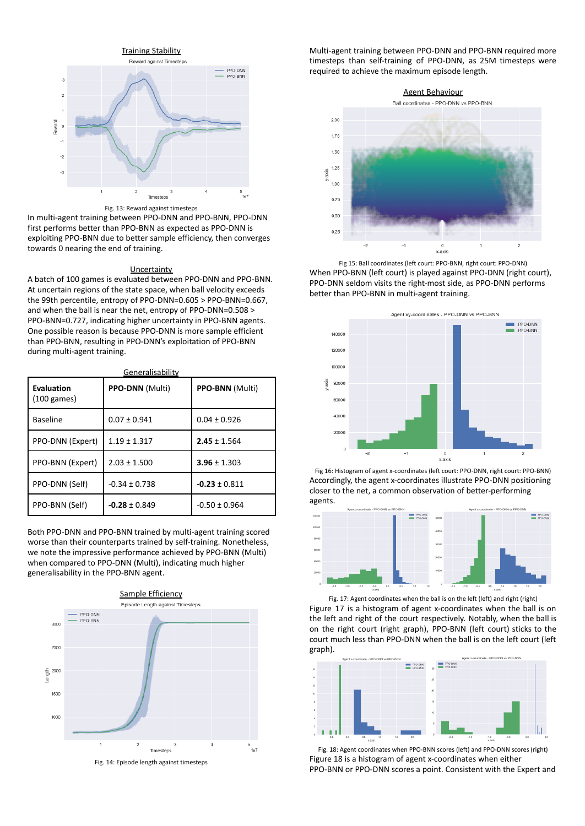

Fig. 13: Reward against timesteps

In multi-agent training between PPO-DNN and PPO-BNN, PPO-DNN first performs better than PPO-BNN as expected as PPO-DNN is exploiting PPO-BNN due to better sample efficiency, then converges towards 0 nearing the end of training.

#### **Uncertainty**

A batch of 100 games is evaluated between PPO-DNN and PPO-BNN. At uncertain regions of the state space, when ball velocity exceeds the 99th percentile, entropy of PPO-DNN=0.605 > PPO-BNN=0.667, and when the ball is near the net, entropy of PPO-DNN=0.508 > PPO-BNN=0.727, indicating higher uncertainty in PPO-BNN agents. One possible reason is because PPO-DNN is more sample efficient than PPO-BNN, resulting in PPO-DNN's exploitation of PPO-BNN during multi-agent training.

Generalisability **Evaluation** (100 games) **PPO-DNN** (Multi) **PPO-BNN** (Multi) Baseline 0.07 ± 0.941 0.04 ± 0.926 PPO-DNN (Expert) 1.19 ± 1.317 **2.45** ± 1.564 PPO-BNN (Expert) 2.03 ± 1.500 **3.96** ± 1.303 PPO-DNN (Self) -0.34 ± 0.738 **-0.23** ± 0.811 PPO-BNN (Self) **-0.28** ± 0.849 -0.50 ± 0.964

Both PPO-DNN and PPO-BNN trained by multi-agent training scored worse than their counterparts trained by self-training. Nonetheless, we note the impressive performance achieved by PPO-BNN (Multi) when compared to PPO-DNN (Multi), indicating much higher generalisability in the PPO-BNN agent.



Fig. 14: Episode length against timesteps

Multi-agent training between PPO-DNN and PPO-BNN required more timesteps than self-training of PPO-DNN, as 25M timesteps were required to achieve the maximum episode length.



Fig 15: Ball coordinates (left court: PPO-BNN, right court: PPO-DNN) When PPO-BNN (left court) is played against PPO-DNN (right court), PPO-DNN seldom visits the right-most side, as PPO-DNN performs better than PPO-BNN in multi-agent training.



Fig 16: Histogram of agent x-coordinates (left court: PPO-DNN, right court: PPO-BNN) Accordingly, the agent x-coordinates illustrate PPO-DNN positioning closer to the net, a common observation of better-performing agents.





Figure 17 is a histogram of agent x-coordinates when the ball is on the left and right of the court respectively. Notably, when the ball is on the right court (right graph), PPO-BNN (left court) sticks to the court much less than PPO-DNN when the ball is on the left court (left graph).



Fig. 18: Agent coordinates when PPO-BNN scores (left) and PPO-DNN scores (right) Figure 18 is a histogram of agent x-coordinates when either PPO-BNN or PPO-DNN scores a point. Consistent with the Expert and